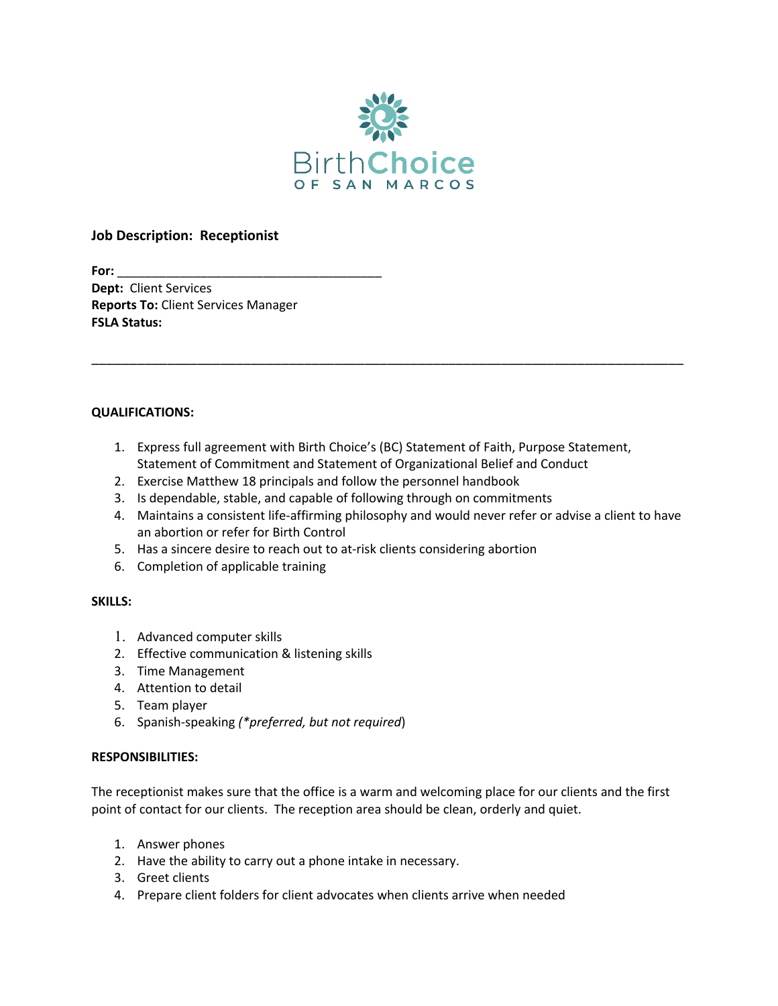

# **Job Description: Receptionist**

**For:** \_\_\_\_\_\_\_\_\_\_\_\_\_\_\_\_\_\_\_\_\_\_\_\_\_\_\_\_\_\_\_\_\_\_\_\_\_\_ **Dept:** Client Services **Reports To:** Client Services Manager **FSLA Status:** 

### **QUALIFICATIONS:**

1. Express full agreement with Birth Choice's (BC) Statement of Faith, Purpose Statement, Statement of Commitment and Statement of Organizational Belief and Conduct

\_\_\_\_\_\_\_\_\_\_\_\_\_\_\_\_\_\_\_\_\_\_\_\_\_\_\_\_\_\_\_\_\_\_\_\_\_\_\_\_\_\_\_\_\_\_\_\_\_\_\_\_\_\_\_\_\_\_\_\_\_\_\_\_\_\_\_\_\_\_\_\_\_\_\_\_\_\_

- 2. Exercise Matthew 18 principals and follow the personnel handbook
- 3. Is dependable, stable, and capable of following through on commitments
- 4. Maintains a consistent life-affirming philosophy and would never refer or advise a client to have an abortion or refer for Birth Control
- 5. Has a sincere desire to reach out to at-risk clients considering abortion
- 6. Completion of applicable training

### **SKILLS:**

- 1. Advanced computer skills
- 2. Effective communication & listening skills
- 3. Time Management
- 4. Attention to detail
- 5. Team player
- 6. Spanish-speaking *(\*preferred, but not required*)

### **RESPONSIBILITIES:**

The receptionist makes sure that the office is a warm and welcoming place for our clients and the first point of contact for our clients. The reception area should be clean, orderly and quiet.

- 1. Answer phones
- 2. Have the ability to carry out a phone intake in necessary.
- 3. Greet clients
- 4. Prepare client folders for client advocates when clients arrive when needed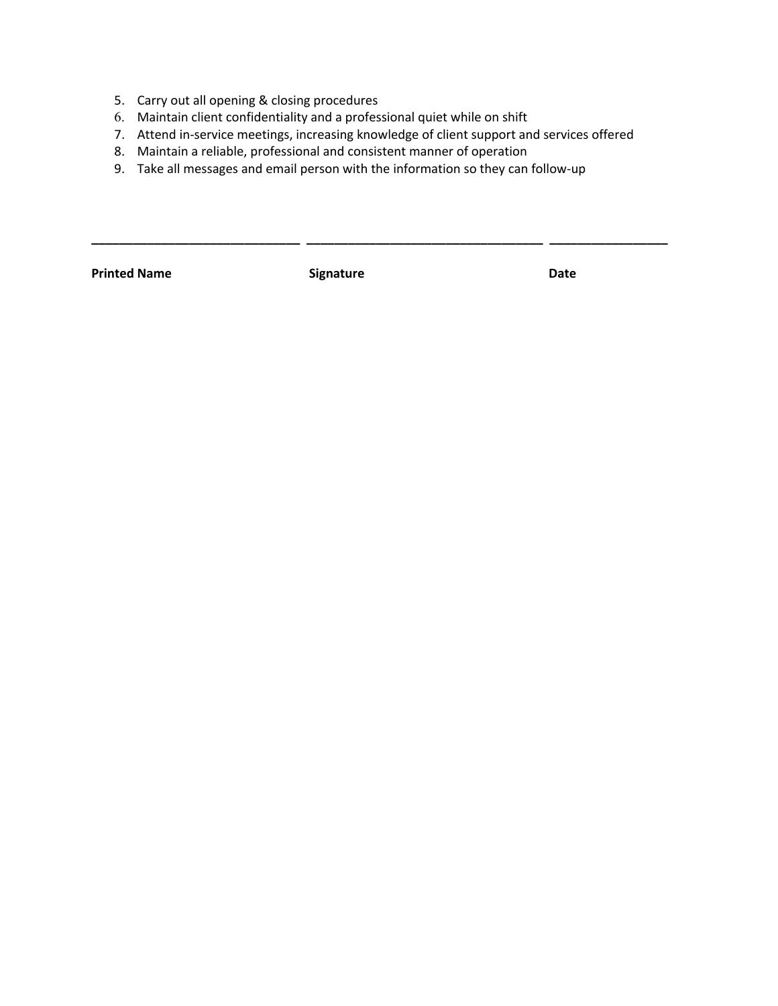- 5. Carry out all opening & closing procedures
- 6. Maintain client confidentiality and a professional quiet while on shift
- 7. Attend in-service meetings, increasing knowledge of client support and services offered

**\_\_\_\_\_\_\_\_\_\_\_\_\_\_\_\_\_\_\_\_\_\_\_\_\_\_\_\_\_\_ \_\_\_\_\_\_\_\_\_\_\_\_\_\_\_\_\_\_\_\_\_\_\_\_\_\_\_\_\_\_\_\_\_\_ \_\_\_\_\_\_\_\_\_\_\_\_\_\_\_\_\_**

- 8. Maintain a reliable, professional and consistent manner of operation
- 9. Take all messages and email person with the information so they can follow-up

Printed Name **Signature Constants Signature Date**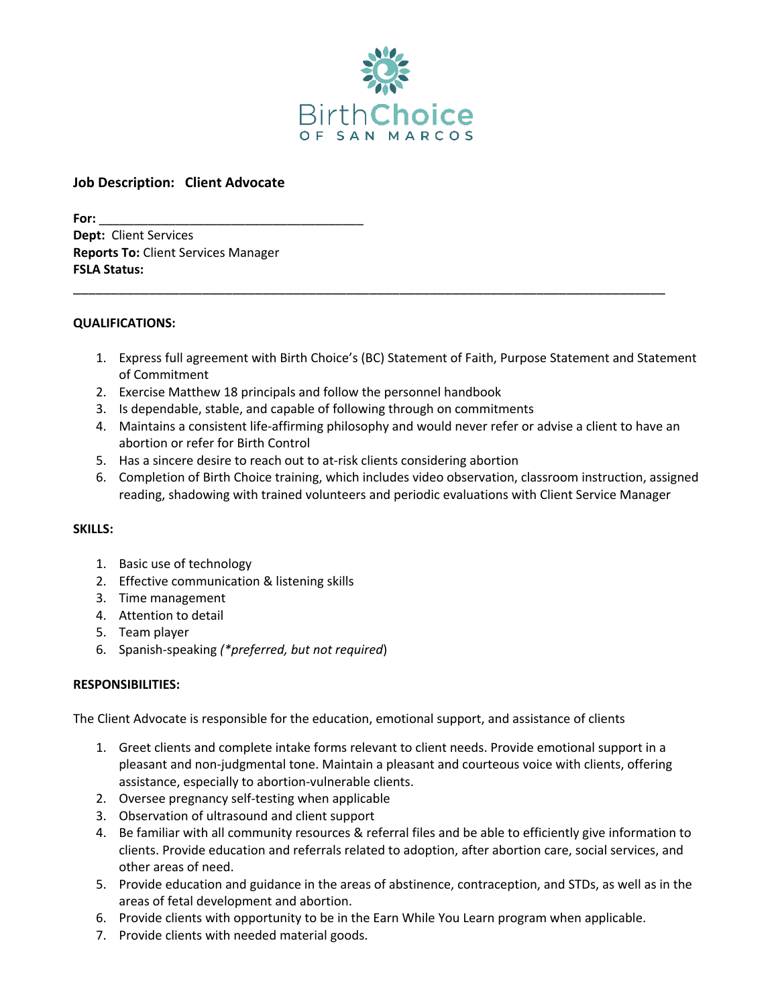

## **Job Description: Client Advocate**

**For:** \_\_\_\_\_\_\_\_\_\_\_\_\_\_\_\_\_\_\_\_\_\_\_\_\_\_\_\_\_\_\_\_\_\_\_\_\_\_ **Dept:** Client Services **Reports To:** Client Services Manager **FSLA Status:** 

#### **QUALIFICATIONS:**

1. Express full agreement with Birth Choice's (BC) Statement of Faith, Purpose Statement and Statement of Commitment

\_\_\_\_\_\_\_\_\_\_\_\_\_\_\_\_\_\_\_\_\_\_\_\_\_\_\_\_\_\_\_\_\_\_\_\_\_\_\_\_\_\_\_\_\_\_\_\_\_\_\_\_\_\_\_\_\_\_\_\_\_\_\_\_\_\_\_\_\_\_\_\_\_\_\_\_\_\_

- 2. Exercise Matthew 18 principals and follow the personnel handbook
- 3. Is dependable, stable, and capable of following through on commitments
- 4. Maintains a consistent life-affirming philosophy and would never refer or advise a client to have an abortion or refer for Birth Control
- 5. Has a sincere desire to reach out to at-risk clients considering abortion
- 6. Completion of Birth Choice training, which includes video observation, classroom instruction, assigned reading, shadowing with trained volunteers and periodic evaluations with Client Service Manager

#### **SKILLS:**

- 1. Basic use of technology
- 2. Effective communication & listening skills
- 3. Time management
- 4. Attention to detail
- 5. Team player
- 6. Spanish-speaking *(\*preferred, but not required*)

### **RESPONSIBILITIES:**

The Client Advocate is responsible for the education, emotional support, and assistance of clients

- 1. Greet clients and complete intake forms relevant to client needs. Provide emotional support in a pleasant and non-judgmental tone. Maintain a pleasant and courteous voice with clients, offering assistance, especially to abortion-vulnerable clients.
- 2. Oversee pregnancy self-testing when applicable
- 3. Observation of ultrasound and client support
- 4. Be familiar with all community resources & referral files and be able to efficiently give information to clients. Provide education and referrals related to adoption, after abortion care, social services, and other areas of need.
- 5. Provide education and guidance in the areas of abstinence, contraception, and STDs, as well as in the areas of fetal development and abortion.
- 6. Provide clients with opportunity to be in the Earn While You Learn program when applicable.
- 7. Provide clients with needed material goods.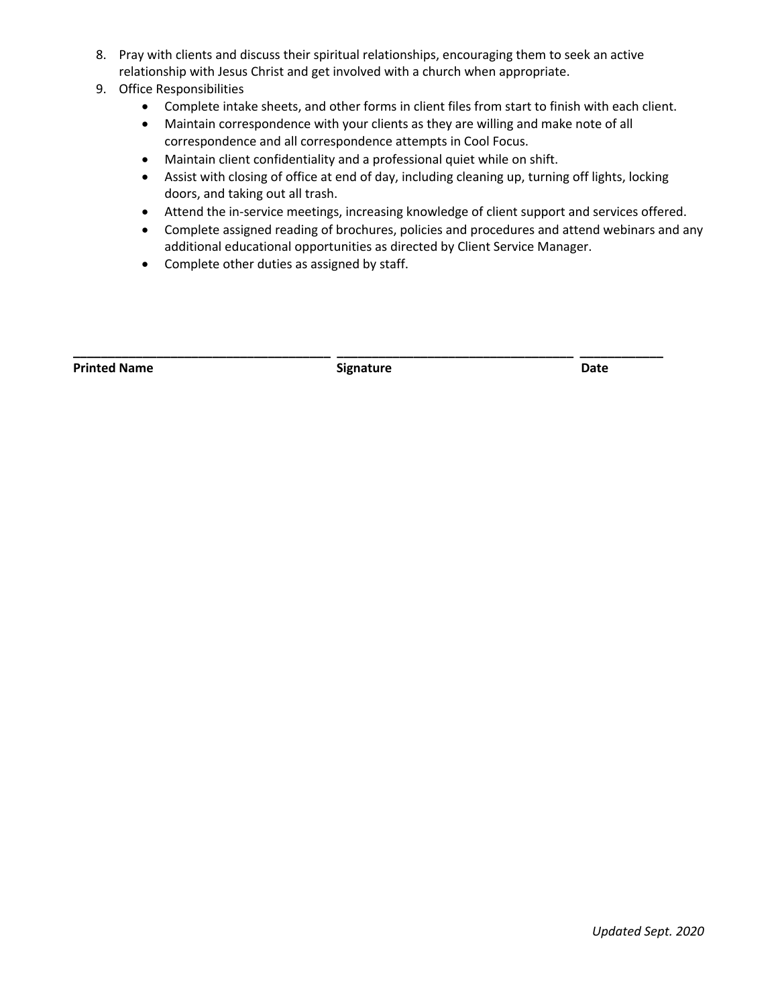8. Pray with clients and discuss their spiritual relationships, encouraging them to seek an active relationship with Jesus Christ and get involved with a church when appropriate.

# 9. Office Responsibilities

- Complete intake sheets, and other forms in client files from start to finish with each client.
- Maintain correspondence with your clients as they are willing and make note of all correspondence and all correspondence attempts in Cool Focus.
- Maintain client confidentiality and a professional quiet while on shift.
- Assist with closing of office at end of day, including cleaning up, turning off lights, locking doors, and taking out all trash.
- Attend the in-service meetings, increasing knowledge of client support and services offered.
- Complete assigned reading of brochures, policies and procedures and attend webinars and any additional educational opportunities as directed by Client Service Manager.
- Complete other duties as assigned by staff.

**Printed Name Community Community Community Community Community Community Community Community Community Community** 

**\_\_\_\_\_\_\_\_\_\_\_\_\_\_\_\_\_\_\_\_\_\_\_\_\_\_\_\_\_\_\_\_\_\_\_\_\_ \_\_\_\_\_\_\_\_\_\_\_\_\_\_\_\_\_\_\_\_\_\_\_\_\_\_\_\_\_\_\_\_\_\_ \_\_\_\_\_\_\_\_\_\_\_\_**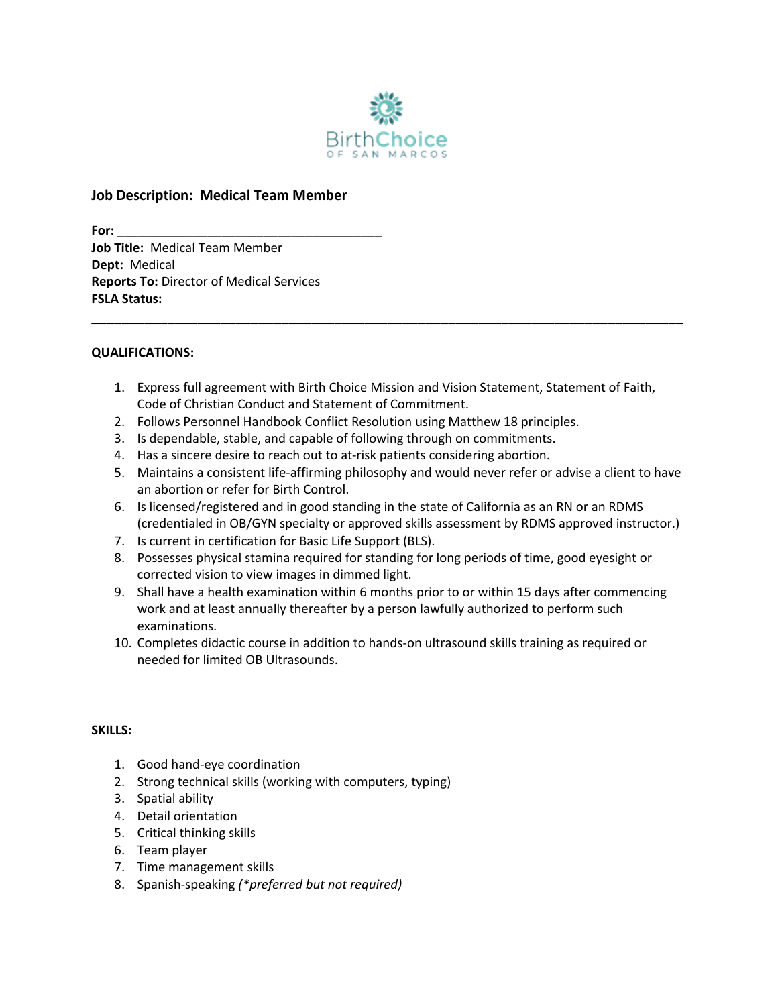

# **Job Description: Medical Team Member**

**For:** \_\_\_\_\_\_\_\_\_\_\_\_\_\_\_\_\_\_\_\_\_\_\_\_\_\_\_\_\_\_\_\_\_\_\_\_\_\_ **Job Title:** Medical Team Member **Dept:** Medical **Reports To:** Director of Medical Services **FSLA Status:** 

### **QUALIFICATIONS:**

1. Express full agreement with Birth Choice Mission and Vision Statement, Statement of Faith, Code of Christian Conduct and Statement of Commitment.

\_\_\_\_\_\_\_\_\_\_\_\_\_\_\_\_\_\_\_\_\_\_\_\_\_\_\_\_\_\_\_\_\_\_\_\_\_\_\_\_\_\_\_\_\_\_\_\_\_\_\_\_\_\_\_\_\_\_\_\_\_\_\_\_\_\_\_\_\_\_\_\_\_\_\_\_\_\_

- 2. Follows Personnel Handbook Conflict Resolution using Matthew 18 principles.
- 3. Is dependable, stable, and capable of following through on commitments.
- 4. Has a sincere desire to reach out to at-risk patients considering abortion.
- 5. Maintains a consistent life-affirming philosophy and would never refer or advise a client to have an abortion or refer for Birth Control.
- 6. Is licensed/registered and in good standing in the state of California as an RN or an RDMS (credentialed in OB/GYN specialty or approved skills assessment by RDMS approved instructor.)
- 7. Is current in certification for Basic Life Support (BLS).
- 8. Possesses physical stamina required for standing for long periods of time, good eyesight or corrected vision to view images in dimmed light.
- 9. Shall have a health examination within 6 months prior to or within 15 days after commencing work and at least annually thereafter by a person lawfully authorized to perform such examinations.
- 10. Completes didactic course in addition to hands-on ultrasound skills training as required or needed for limited OB Ultrasounds.

### **SKILLS:**

- 1. Good hand-eye coordination
- 2. Strong technical skills (working with computers, typing)
- 3. Spatial ability
- 4. Detail orientation
- 5. Critical thinking skills
- 6. Team player
- 7. Time management skills
- 8. Spanish-speaking *(\*preferred but not required)*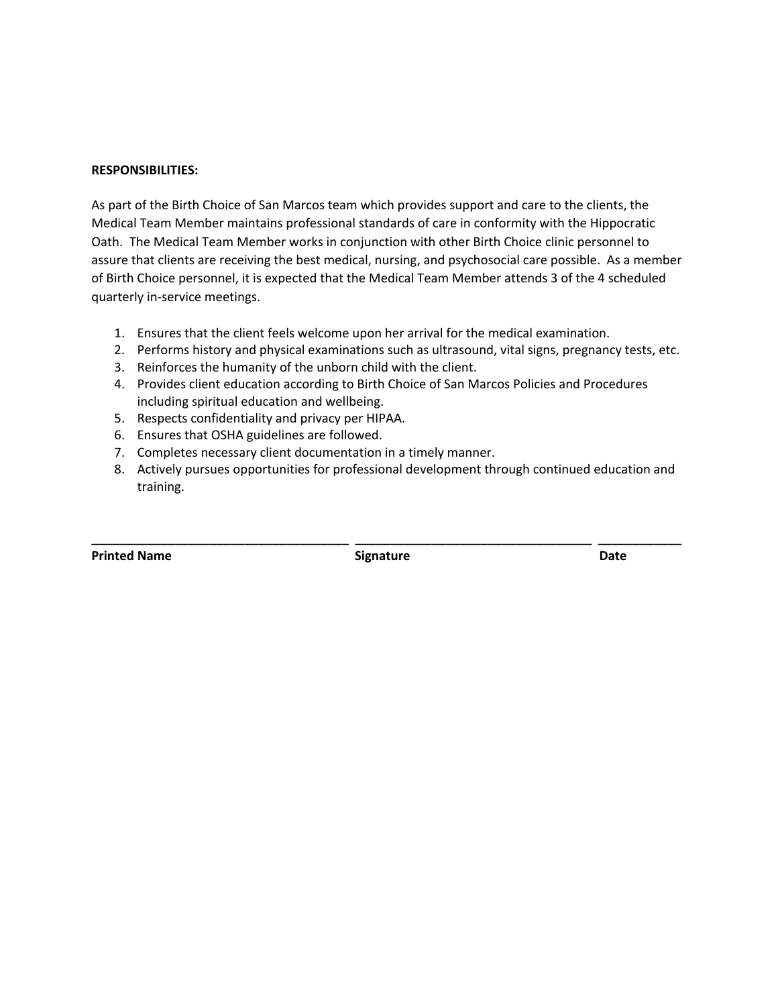#### **RESPONSIBILITIES:**

As part of the Birth Choice of San Marcos team which provides support and care to the clients, the Medical Team Member maintains professional standards of care in conformity with the Hippocratic Oath. The Medical Team Member works in conjunction with other Birth Choice clinic personnel to assure that clients are receiving the best medical, nursing, and psychosocial care possible. As a member of Birth Choice personnel, it is expected that the Medical Team Member attends 3 of the 4 scheduled quarterly in-service meetings.

- 1. Ensures that the client feels welcome upon her arrival for the medical examination.
- 2. Performs history and physical examinations such as ultrasound, vital signs, pregnancy tests, etc.
- 3. Reinforces the humanity of the unborn child with the client.
- 4. Provides client education according to Birth Choice of San Marcos Policies and Procedures including spiritual education and wellbeing.
- 5. Respects confidentiality and privacy per HIPAA.
- 6. Ensures that OSHA guidelines are followed.
- 7. Completes necessary client documentation in a timely manner.
- 8. Actively pursues opportunities for professional development through continued education and training.

**Printed Name Community Community Community Community Community Community Community Community Community Community** 

**\_\_\_\_\_\_\_\_\_\_\_\_\_\_\_\_\_\_\_\_\_\_\_\_\_\_\_\_\_\_\_\_\_\_\_\_\_ \_\_\_\_\_\_\_\_\_\_\_\_\_\_\_\_\_\_\_\_\_\_\_\_\_\_\_\_\_\_\_\_\_\_ \_\_\_\_\_\_\_\_\_\_\_\_**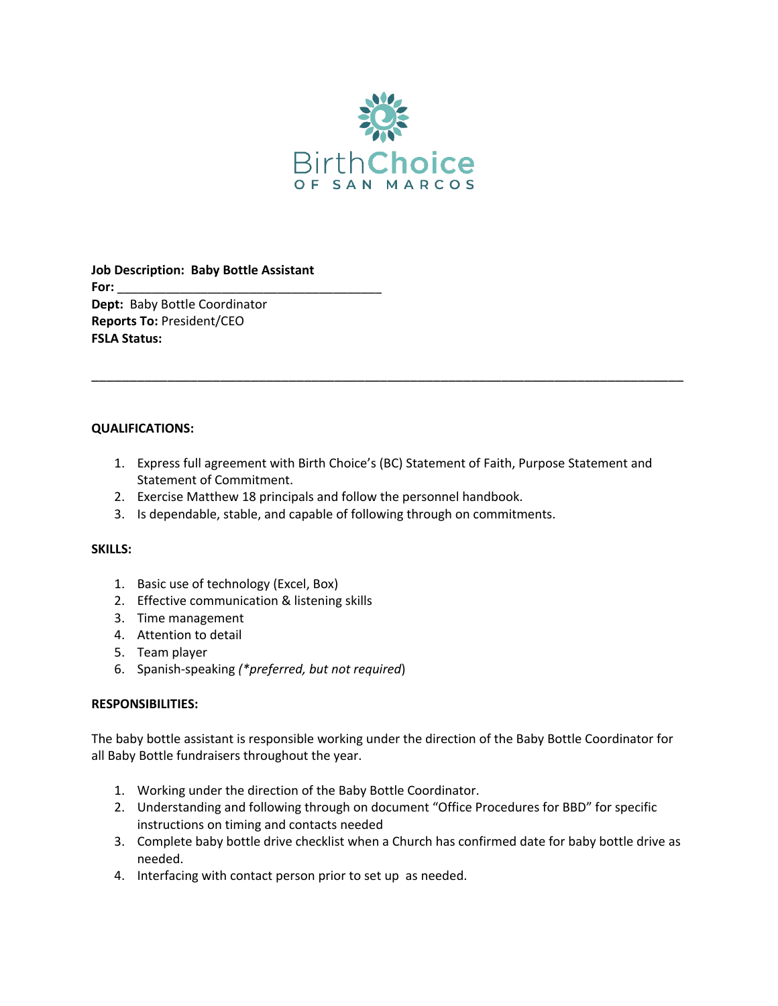

**Job Description: Baby Bottle Assistant For:**  $\overline{a}$ **Dept:** Baby Bottle Coordinator **Reports To:** President/CEO **FSLA Status:** 

### **QUALIFICATIONS:**

1. Express full agreement with Birth Choice's (BC) Statement of Faith, Purpose Statement and Statement of Commitment.

\_\_\_\_\_\_\_\_\_\_\_\_\_\_\_\_\_\_\_\_\_\_\_\_\_\_\_\_\_\_\_\_\_\_\_\_\_\_\_\_\_\_\_\_\_\_\_\_\_\_\_\_\_\_\_\_\_\_\_\_\_\_\_\_\_\_\_\_\_\_\_\_\_\_\_\_\_\_

- 2. Exercise Matthew 18 principals and follow the personnel handbook.
- 3. Is dependable, stable, and capable of following through on commitments.

## **SKILLS:**

- 1. Basic use of technology (Excel, Box)
- 2. Effective communication & listening skills
- 3. Time management
- 4. Attention to detail
- 5. Team player
- 6. Spanish-speaking *(\*preferred, but not required*)

### **RESPONSIBILITIES:**

The baby bottle assistant is responsible working under the direction of the Baby Bottle Coordinator for all Baby Bottle fundraisers throughout the year.

- 1. Working under the direction of the Baby Bottle Coordinator.
- 2. Understanding and following through on document "Office Procedures for BBD" for specific instructions on timing and contacts needed
- 3. Complete baby bottle drive checklist when a Church has confirmed date for baby bottle drive as needed.
- 4. Interfacing with contact person prior to set up as needed.